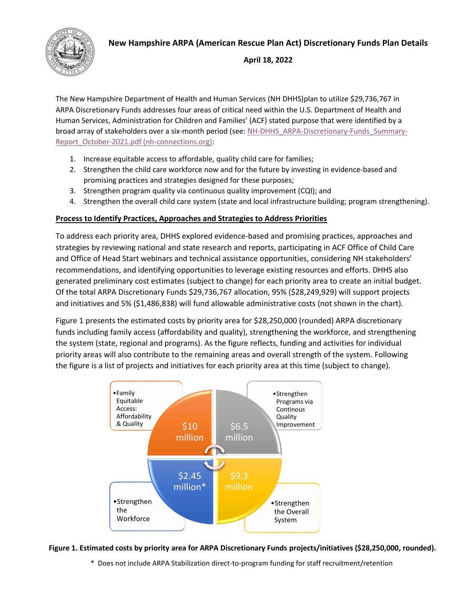## **New Hampshire ARPA (American Rescue Plan Act) Discretionary Funds Plan Details**



### **April 18, 2022**

The New Hampshire Department of Health and Human Services (NH DHHS)plan to utilize \$29,736,767 in ARPA Discretionary Funds addresses four areas of critical need within the U.S. Department of Health and Human Services, Administration for Children and Families' (ACF) stated purpose that were identified by a broad array of stakeholders over a six-month period (see[: NH-DHHS\\_ARPA-Discretionary-Funds\\_Summary-](https://www.nh-connections.org/uploads/NH-DHHS_ARPA-Discretionary-Funds_Summary-Report_October-2021.pdf)[Report\\_October-2021.pdf \(nh-connections.org\):](https://www.nh-connections.org/uploads/NH-DHHS_ARPA-Discretionary-Funds_Summary-Report_October-2021.pdf)

- 1. Increase equitable access to affordable, quality child care for families;
- 2. Strengthen the child care workforce now and for the future by investing in evidence-based and promising practices and strategies designed for these purposes;
- 3. Strengthen program quality via continuous quality improvement (CQI); and
- 4. Strengthen the overall child care system (state and local infrastructure building; program strengthening).

### **Process to Identify Practices, Approaches and Strategies to Address Priorities**

To address each priority area, DHHS explored evidence-based and promising practices, approaches and strategies by reviewing national and state research and reports, participating in ACF Office of Child Care and Office of Head Start webinars and technical assistance opportunities, considering NH stakeholders' recommendations, and identifying opportunities to leverage existing resources and efforts. DHHS also generated preliminary cost estimates (subject to change) for each priority area to create an initial budget. Of the total ARPA Discretionary Funds \$29,736,767 allocation, 95% (\$28,249,929) will support projects and initiatives and 5% (\$1,486,838) will fund allowable administrative costs (not shown in the chart).

Figure 1 presents the estimated costs by priority area for \$28,250,000 (rounded) ARPA discretionary funds including family access (affordability and quality), strengthening the workforce, and strengthening the system (state, regional and programs). As the figure reflects, funding and activities for individual priority areas will also contribute to the remaining areas and overall strength of the system. Following the figure is a list of projects and initiatives for each priority area at this time (subject to change).



#### **Figure 1. Estimated costs by priority area for ARPA Discretionary Funds projects/initiatives (\$28,250,000, rounded).**

\* Does not include ARPA Stabilization direct-to-program funding for staff recruitment/retention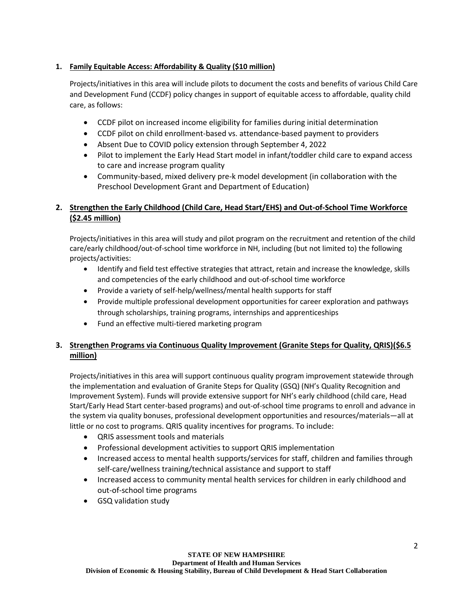## **1. Family Equitable Access: Affordability & Quality (\$10 million)**

Projects/initiatives in this area will include pilots to document the costs and benefits of various Child Care and Development Fund (CCDF) policy changes in support of equitable access to affordable, quality child care, as follows:

- CCDF pilot on increased income eligibility for families during initial determination
- CCDF pilot on child enrollment-based vs. attendance-based payment to providers
- Absent Due to COVID policy extension through September 4, 2022
- Pilot to implement the Early Head Start model in infant/toddler child care to expand access to care and increase program quality
- Community-based, mixed delivery pre-k model development (in collaboration with the Preschool Development Grant and Department of Education)

# **2. Strengthen the Early Childhood (Child Care, Head Start/EHS) and Out-of-School Time Workforce (\$2.45 million)**

Projects/initiatives in this area will study and pilot program on the recruitment and retention of the child care/early childhood/out-of-school time workforce in NH, including (but not limited to) the following projects/activities:

- Identify and field test effective strategies that attract, retain and increase the knowledge, skills and competencies of the early childhood and out-of-school time workforce
- Provide a variety of self-help/wellness/mental health supports for staff
- Provide multiple professional development opportunities for career exploration and pathways through scholarships, training programs, internships and apprenticeships
- Fund an effective multi-tiered marketing program

# **3. Strengthen Programs via Continuous Quality Improvement (Granite Steps for Quality, QRIS)(\$6.5 million)**

Projects/initiatives in this area will support continuous quality program improvement statewide through the implementation and evaluation of Granite Steps for Quality (GSQ) (NH's Quality Recognition and Improvement System). Funds will provide extensive support for NH's early childhood (child care, Head Start/Early Head Start center-based programs) and out-of-school time programs to enroll and advance in the system via quality bonuses, professional development opportunities and resources/materials—all at little or no cost to programs. QRIS quality incentives for programs. To include:

- QRIS assessment tools and materials
- Professional development activities to support QRIS implementation
- Increased access to mental health supports/services for staff, children and families through self-care/wellness training/technical assistance and support to staff
- Increased access to community mental health services for children in early childhood and out-of-school time programs
- GSQ validation study